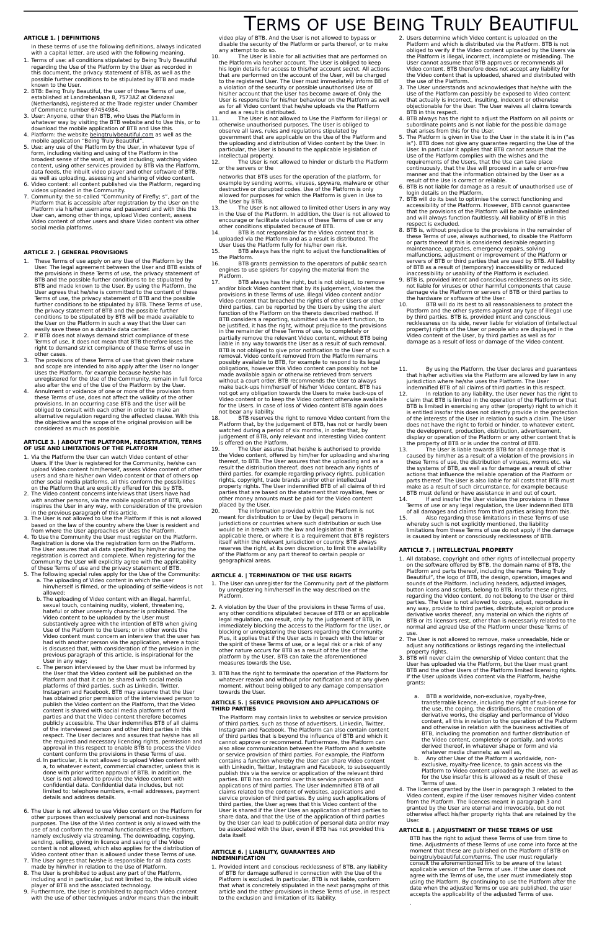# TERMS OF USE BEING TRULY BEAUTIFUL

In these terms of use the following definitions, always indicated with a capital letter, are used with the following meaning.

#### **ARTICLE 1. | DEFINITIONS**

- 1. Terms of use: all conditions stipulated by Being Truly Beautiful regarding the Use of the Platform by the User as recorded in this document, the privacy statement of BTB, as well as the possible further conditions to be stipulated by BTB and made known to the User.
- 2. BTB: Being Truly Beautiful, the user of these Terms of use, established at Landrebenlaan 8, 7573AZ at Oldenzaal (Netherlands), registered at the Trade register under Chamber of Commerce number 67454984.
- 3. User: Anyone, other than BTB, who Uses the Platform in whatever way by visiting the BTB website and to Use this, or to download the mobile application of BTB and Use this.
- 4. Platform: the website [beingtrulybeautiful.com](http://www.beingtrulybeautiful.com/) as well as the mobile application "Being Truly Beautiful". 5. Use: any use of the Platform by the User, in whatever type of
- form, including visiting and using of the Platform in the broadest sense of the word, at least including; watching video content, using other services provided by BTB via the Platform, data feeds, the inbuilt video player and other software of BTB, as well as uploading, assessing and sharing of video content.
- 6. Video content: all content published via the Platform, regarding videos uploaded in the Community.
- 7. Community: the so-called "Community of Firefly; s", part of the Platform that is accessible after registration by the User on the Platform via his/her username and password and with this the User can, among other things, upload Video content, assess Video content of other users and share Video content via other social media platforms.

#### **ARTICLE 2. | GENERAL PROVISIONS**

- 1. These Terms of use apply on any Use of the Platform by the User. The legal agreement between the User and BTB exists of the provisions in these Terms of use, the privacy statement of BTB and the possible further conditions to be stipulated by BTB and made known to the User. By using the Platform, the User agrees that he/she is committed to the content of these Terms of use, the privacy statement of BTB and the possible further conditions to be stipulated by BTB. These Terms of use, the privacy statement of BTB and the possible further conditions to be stipulated by BTB will be made available to the User on the Platform in such a way that the User can easily save these on a durable data carrier.
- 2. If BTB does not always demand strict compliance of these Terms of use, it does not mean that BTB therefore loses the right to demand strict compliance of these Terms of use in other cases.
- 3. The provisions of these Terms of use that given their nature and scope are intended to also apply after the User no longer Uses the Platform, for example because he/she has unregistered for the Use of the Community, remain in full force also after the end of the Use of the Platform by the User.
- 4. Annulment or voidance of one or more of the provision from these Terms of use, does not affect the validity of the other provisions. In an occurring case BTB and the User will be obliged to consult with each other in order to make an alternative regulation regarding the affected clause. With this the objective and the scope of the original provision will be considered as much as possible.

#### **ARTICLE 3. | ABOUT THE PLATFORM, REGISTRATION, TERMS OF USE AND LIMITATIONS OF THE PLATFORM**

- 1. Via the Platform the User can watch Video content of other Users. If the User is registered for the Community, he/she can upload Video content him/herself, assess Video content of other users and share his/her own Video content or that of others op other social media platforms, all this conform the possibilities on the Platform that are explicitly offered for this by BTB.
- 2. The Video content concerns interviews that Users have had with another persons, via the mobile application of BTB, who inspires the User in any way, with consideration of the provision in the previous paragraph of this article.
- 3. The User is not allowed to Use the Platform if this is not allowed based on the law of the country where the User is resident and from where the User approaches or Uses the Platform.
- 4. To Use the Community the User must register on the Platform. Registration is done via the registration form on the Platform. The User assures that all data specified by him/her during the registration is correct and complete. When registering for the Community the User will explicitly agree with the applicability of these Terms of use and the privacy statement of BTB.
- 5. The following special rules apply for the Use of the Community: a. The uploading of Video content in which the user
- him/herself is filmed, or the uploading of selfie-videos is not allowed; b. The uploading of Video content with an illegal, harmful,
	- sexual touch, containing nudity, violent, threatening, hateful or other unseemly character is prohibited. The Video content to be uploaded by the User must substantively agree with the intention of BTB when giving Use of the Platform to the Users; or in other words the Video content must concern an interview that the user has had with another person via the application, where a topic is discussed that, with consideration of the provision in the previous paragraph of this article, is inspirational for the User in any way;
	- c. The person interviewed by the User must be informed by the User that the Video content will be published on the Platform and that it can be shared with social media
- any attempt to do so.<br>10. The User is lia The User is liable for all activities that are performed on the Platform via her/her account. The User is obliged to keep his login details for access to this/her account secret. All actions that are performed on the account of the User, will be charged to the registered User. The User must immediately inform BB of a violation of the security or possible unauthorised Use of his/her account that the User has become aware of. Only the User is responsible for his/her behaviour on the Platform as well as for all Video content that he/she uploads via the Platform
- and as a result is distributed.<br>11. The User is not allowe The User is not allowed to Use the Platform for illegal or otherwise unauthorised purposes. The User is obliged to observe all laws, rules and regulations stipulated by government that are applicable on the Use of the Platform and the uploading and distribution of Video content by the User. In particular, the User is bound to the applicable legislation of intellectual property.
- 12. The User is not allowed to hinder or disturb the Platform or the servers or the
- networks that BTB uses for the operation of the platform, for example by sending worms, viruses, spyware, malware or other destructive or disrupted codes. Use of the Platform is only allowed for purposes for which the Platform is given in Use to the User by BTB.
- 13. The User is not allowed to limited other Users in any way in the Use of the Platform. In addition, the User is not allowed to encourage or facilitate violations of these Terms of use or any other conditions stipulated because of BTB.
- 14. BTB is not responsible for the Video content that is uploaded via the Platform and as a result is distributed. The User Uses the Platform fully for his/her own risk.<br>15. BTB always has the right to adjust the fu
- BTB always has the right to adjust the functionalities of the Platform.
- 16. BTB grants permission to the operators of public search engines to use spiders for copying the material from the Platform.
- 17. BTB always has the right, but is not obliged, to remove and/or block Video content that by its judgement, violates the provisions in these Terms of use. Illegal Video content and/or Video content that breached the rights of other Users or other third parties, can be reported by the Users by using the alert function of the Platform on the thereto described method. If BTB considers a reporting, submitted via the alert function, to be justified, it has the right, without prejudice to the provisions in the remainder of these Terms of use, to completely or partially remove the relevant Video content, without BTB being liable in any way towards the User as a result of such removal. BTB is not obliged to give prior notification to the User of such a removal. Video content removed from the Platform remains possibly available to BTB, for example to respond to its legal obligations, however this Video content can possibly not be made available again or otherwise retrieved from servers without a court order. BTB recommends the User to always make back-ups him/herself of his/her Video content. BTB has not got any obligation towards the Users to make back-ups of Video content or to keep the Video content otherwise available for the Users. In case of loss of Video content BTB again does not bear any liability.

platforms of third parties, such as Linkedin, Twitter, Instagram and Facebook. BTB may assume that the User has obtained prior permission of the interviewed person to publish the Video content on the Platform, that the Video content is shared with social media platforms of third parties and that the Video content therefore becomes publicly accessible. The User indemnifies BTB of all claims of the interviewed person and other third parties in this respect. The User declares and assures that he/she has all the required and necessary licencing rights, permission and approval in this respect to enable BTB to process the Video content conform the provisions in these Terms of use.

- 1. The User can unregister for the Community part of the platform by unregistering him/herself in the way described on the Platform.
- 2. A violation by the User of the provisions in these Terms of use, any other conditions stipulated because of BTB or an applicable legal regulation, can result, only by the judgement of BTB, in immediately blocking the access to the Platform for the User, or blocking or unregistering the Users regarding the Community. Plus, it applies that if the User acts in breach with the letter or the spirit of these Terms of use, or a legal risk or a risk of any other nature occurs for BTB as a result of the Use of the platform by the User, BTB can take the aforementioned measures towards the Use.
- 3. BTB has the right to terminate the operation of the Platform for whatever reason and without prior notification and at any given

- d. In particular, it is not allowed to upload Video content with a, to whatever extent, commercial character, unless this is done with prior written approval of BTB. In addition, the User is not allowed to provide the Video content with confidential data. Confidential data includes, but not limited to: telephone numbers, e-mail addresses, payment details and address details.
- 6. The User is not allowed to use Video content on the Platform for other purposes than exclusively personal and non-business purposes. The Use of the Video content is only allowed with the use of and conform the normal functionalities of the Platform, namely exclusively via streaming. The downloading, copying, sending, selling, giving in licence and saving of the Video content is not allowed, which also applies for the distribution of Video content other than is allowed under these Terms of use.
- 7. The User agrees that he/she is responsible for all data costs made by him/her in relation to the Use of Platform.
- 8. The User is prohibited to adjust any part of the Platform including and in particular, but not limited to, the inbuilt video player of BTB and the associated technology.
- 9. Furthermore, the User is prohibited to approach Video content with the use of other techniques and/or means than the inbuilt

video play of BTB. And the User is not allowed to bypass or disable the security of the Platform or parts thereof, or to make

18. BTB reserves the right to remove Video content from the Platform that, by the judgement of BTB, has not or hardly been watched during a period of six months, in order that, by judgement of BTB, only relevant and interesting Video content is offered on the Platform.

19. The User assures that he/she is authorised to provide the Video content, offered by him/her for uploading and sharing thereof, to BTB. The User assures that the uploading and as a result the distribution thereof, does not breach any rights of third parties, for example regarding privacy rights, publication rights, copyright, trade brands and/or other intellectual property rights. The User indemnified BTB of all claims of third parties that are based on the statement that royalties, fees or other money amounts must be paid for the Video content placed by the User.

20. The information provided within the Platform is not meant for distribution to or Use by (legal) persons in jurisdictions or countries where such distribution or such Use would be in breach with the law and legislation that is applicable there, or where it is a requirement that BTB registers itself within the relevant jurisdiction or country. BTB always reserves the right, at its own discretion, to limit the availability of the Platform or any part thereof to certain people or geographical areas.

#### **ARTICLE 4. | TERMINATION OF THE USE RIGHTS**

moment, without being obliged to any damage compensation towards the User.

#### **ARTICLE 5. | SERVICE PROVISION AND APPLICATIONS OF THIRD PARTIES**

The Platform may contain links to websites or service provision of third parties, such as those of advertisers, Linkedin, Twitter, Instagram and Facebook. The Platform can also contain content of third parties that is beyond the influence of BTB and which it cannot approve or recommend. Furthermore, the Platform can also allow communication between the Platform and a website or service provision of third parties. For example, the Platform contains a function whereby the User can share Video content with Linkedin, Twitter, Instagram and Facebook, to subsequently publish this via the service or application of the relevant third parties. BTB has no control over this service provision and applications of third parties. The User indemnified BTB of all claims related to the content of websites, applications and service provision of third parties. By using such applications of third parties, the User agrees that this Video content of the User is shared if the User Uses an application of third parties to share data, and that the Use of the application of third parties by the User can lead to publication of personal data and/or may be associated with the User, even if BTB has not provided this data itself.

#### **ARTICLE 6. | LIABILITY, GUARANTEES AND INDEMNIFICATION**

1. Provided intent and conscious recklessness of BTB, any liability of BTB for damage suffered in connection with the Use of the Platform is excluded. In particular, BTB is not liable, conform that what is concretely stipulated in the next paragraphs of this article and the other provisions in these Terms of use, in respect to the exclusion and limitation of its liability.

- 2. Users determine which Video content is uploaded on the Platform and which is distributed via the Platform. BTB is not obliged to verify if the Video content uploaded by the Users via the Platform is illegal, incorrect, incomplete or misleading. The User cannot assume that BTB approves or recommends all Video content. BTB therefore does not accept any liability for the Video content that is uploaded, shared and distributed with the use of the Platform.
- 3. The User understands and acknowledges that he/she with the Use of the Platform can possibly be exposed to Video content that actually is incorrect, insulting, indecent or otherwise objectionable for the User. The User waives all claims towards BTB in this respect.
- 4. BTB always has the right to adjust the Platform on all points or subordinate points and is not liable for the possible damage that arises from this for the User.
- 5. The Platform is given in Use to the User in the state it is in ("as is"). BTB does not give any guarantee regarding the Use of the User. In particular it applies that BTB cannot assure that the Use of the Platform complies with the wishes and the requirements of the Users, that the Use can take place continuously, that the Use will proceed in a safe or error-free manner and that the information obtained by the User as a result of the Use is correct or reliable.
- 6. BTB is not liable for damage as a result of unauthorised use of login details on the Platform.
- 7. BTB will do its best to optimise the correct functioning and accessibility of the Platform. However, BTB cannot guarantee that the provisions of the Platform will be available unlimited and will always function faultlessly. All liability of BTB in this respect is excluded.
- 8. BTB is, without prejudice to the provisions in the remainder of these Terms of use, always authorised, to disable the Platform or parts thereof if this is considered desirable regarding maintenance, upgrades, emergency repairs, solving malfunctions, adjustment or improvement of the Platform or servers of BTB or third parties that are used by BTB. All liability of BTB as a result of (temporary) inaccessibility or reduced inaccessibility or usability of the Platform is excluded.
- 9. BTB is, provided intent and conscious recklessness on its side, not liable for viruses or other harmful components that cause damage via the Platform or servers of BTB or third parties to the hardware or software of the User.
- 10. BTB will do its best to all reasonableness to protect the Platform and the other systems against any type of illegal use by third parties. BTB is, provided intent and conscious recklessness on its side, never liable for violation of (intellectual property) rights of the User or people who are displayed in the Video content of the User, by third parties as well as for damage as a result of loss or damage of the Video content.
- 11. By using the Platform, the User declares and guarantees that his/her activities via the Platform are allowed by law in any jurisdiction where he/she uses the Platform. The User indemnified BTB of all claims of third parties in this respect.<br>12. In relation to any liability, the User never has the rig
- In relation to any liability, the User never has the right to claim that BTB is limited in the operation of the Platform or that BTB is limited in exercising any other (property) right to which it is entitled insofar this does not directly provide in the protection of the interests of the User in relation to such a claim. The User does not have the right to forbid or hinder, to whatever extent, the development, production, distribution, advertisement, display or operation of the Platform or any other content that is the property of BTB or is under the control of BTB.
- 13. The User is liable towards BTB for all damage that is caused by him/her as a result of a violation of the provisions in these Terms of use, the distribution of viruses, worms etc. via the systems of BTB, as well as for damage as a result of other actions that influence the reliable operation of the Platform or parts thereof. The User is also liable for all costs that BTB must make as a result of such circumstance, for example because BTB must defend or have assistance in and out of court.
- 14. If and insofar the User violates the provisions in these Terms of use or any legal regulation, the User indemnified BTB of all damages and claims from third parties arising from this.
- 15. Also regarding those limitations in these Terms of use whereby such is not explicitly mentioned, the liability limitations from these Terms of use do not apply if the damage is caused by intent or consciously recklessness of BTB.

#### **ARTICLE 7. | INTELLECTUAL PROPERTY**

- 1. All database, copyright and other rights of intellectual property on the software offered by BTB, the domain name of BTB, the Platform and parts thereof, including the name "Being Truly Beautiful", the logo of BTB, the design, operation, images and sounds of the Platform. Including headers, adjusted images, button icons and scripts, belong to BTB, insofar these rights, regarding the Video content, do not belong to the User or third parties. The User is not allowed to copy, adjust, reproduce in any way, provide to third parties, distribute, exploit or produce derivative works thereof, any material on which the rights of BTB or its licensors rest, other than is necessarily related to the normal and agreed Use of the Platform under these Terms of use.
- 2. The User is not allowed to remove, make unreadable, hide or adjust any notifications or listings regarding the intellectual property rights.
- 3. BTB will never claim the ownership of Video content that the User has uploaded via the Platform, but the User must grant BTB and the other Users of the Platform limited licensing rights. If the User uploads Video content via the Platform, he/she grants:

- a. BTB a worldwide, non-exclusive, royalty-free, transferrable licence, including the right of sub-license for the use, the coping, the distributions, the creation of derivative works, the display and performance of Video content, all this in relation to the operation of the Platform and otherwise in relation with the business activities of BTB, including the promotion and further distribution of the Video content, completely or partially, and works derived thereof, in whatever shape or form and via whatever media channels; as well as,
- b. Any other User of the Platform a worldwide, nonexclusive, royalty-free licence, to gain access via the Platform to Video content uploaded by the User, as well as for the Use insofar this is allowed as a result of these Terms of use.
- 4. The licences granted by the User in paragraph 3 related to the Video content, expire if the User removes his/her Video content from the Platform. The licences meant in paragraph 3 and granted by the User are eternal and irrevocable, but do not otherwise affect his/her property rights that are retained by the User.

#### **ARTICLE 8. | ADJUSTMENT OF THESE TERMS OF USE**

BTB has the right to adjust these Terms of use from time to time. Adjustments of these Terms of use come into force at the moment that these are published on the Platform of BTB on [beingtrulybeautiful.com/terms.](http://www.beingtrulybeautiful.com/terms) The user must regularly consult the aforementioned link to be aware of the latest applicable version of the Terms of use. If the user does not agree with the Terms of use, the user must immediately stop using the Platform. By continuing to use the Platform after the date when the adjusted Terms or use are published, the user accepts the applicability of the adjusted Terms of use.

.